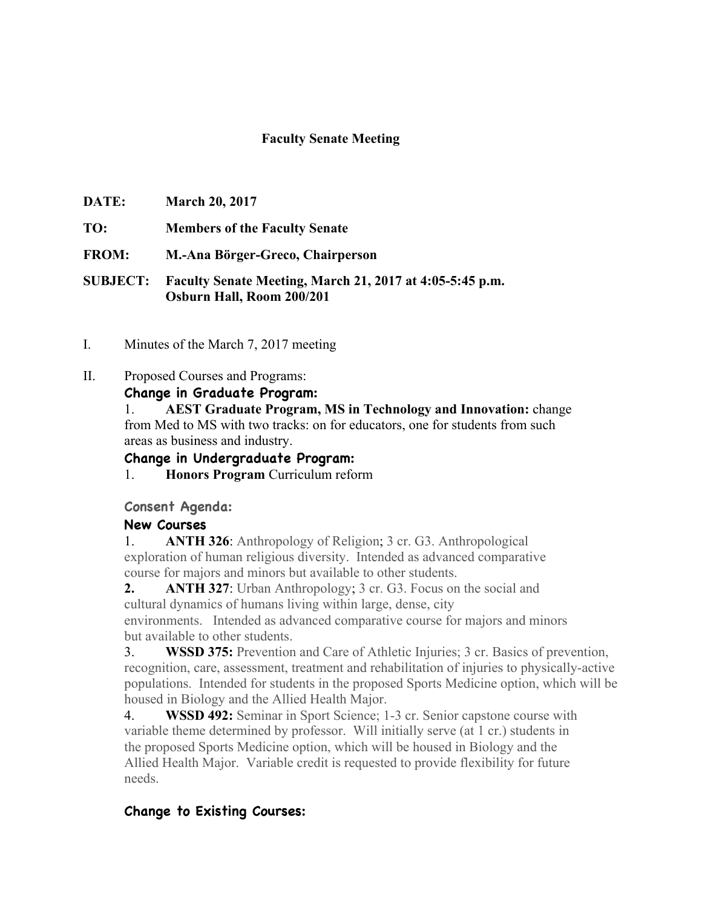#### **Faculty Senate Meeting**

- **DATE: March 20, 2017**
- **TO: Members of the Faculty Senate**
- **FROM: M.-Ana Börger-Greco, Chairperson**

**SUBJECT: Faculty Senate Meeting, March 21, 2017 at 4:05-5:45 p.m. Osburn Hall, Room 200/201**

- I. Minutes of the March 7, 2017 meeting
- II. Proposed Courses and Programs:

**Change in Graduate Program:**

1. **AEST Graduate Program, MS in Technology and Innovation:** change from Med to MS with two tracks: on for educators, one for students from such areas as business and industry.

## **Change in Undergraduate Program:**

1. **Honors Program** Curriculum reform

#### **Consent Agenda:**

## **New Courses**

1. **ANTH 326**: Anthropology of Religion; 3 cr. G3. Anthropological exploration of human religious diversity. Intended as advanced comparative course for majors and minors but available to other students.

**2. ANTH 327**: Urban Anthropology; 3 cr. G3. Focus on the social and cultural dynamics of humans living within large, dense, city environments. Intended as advanced comparative course for majors and minors but available to other students.

3. **WSSD 375:** Prevention and Care of Athletic Injuries; 3 cr. Basics of prevention, recognition, care, assessment, treatment and rehabilitation of injuries to physically-active populations. Intended for students in the proposed Sports Medicine option, which will be housed in Biology and the Allied Health Major.

4. **WSSD 492:** Seminar in Sport Science; 1-3 cr. Senior capstone course with variable theme determined by professor. Will initially serve (at 1 cr.) students in the proposed Sports Medicine option, which will be housed in Biology and the Allied Health Major. Variable credit is requested to provide flexibility for future needs.

## **Change to Existing Courses:**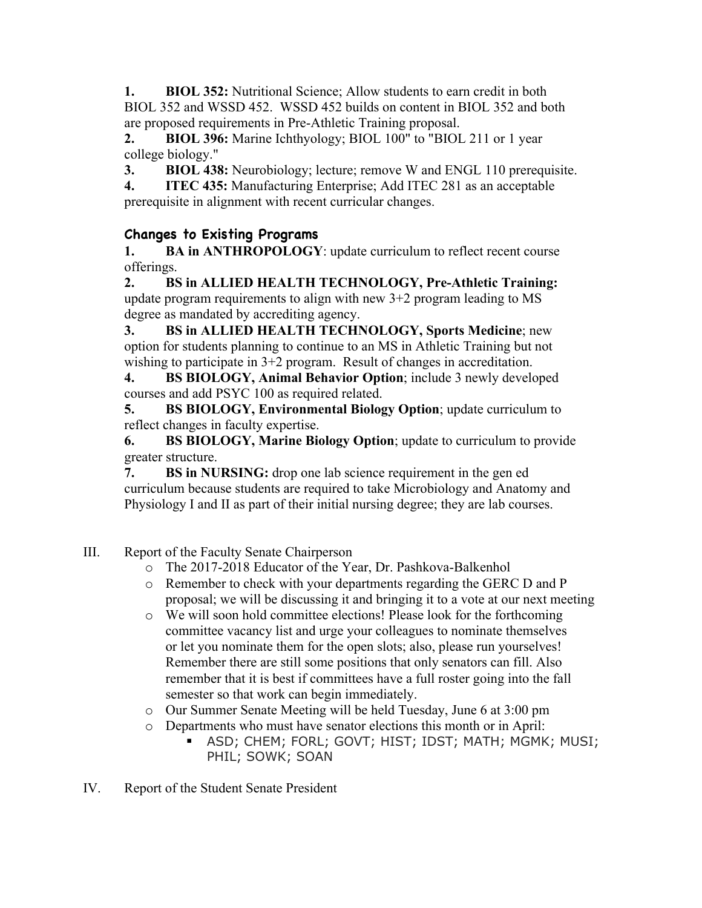**1. BIOL 352:** Nutritional Science; Allow students to earn credit in both BIOL 352 and WSSD 452. WSSD 452 builds on content in BIOL 352 and both are proposed requirements in Pre-Athletic Training proposal.

**2. BIOL 396:** Marine Ichthyology; BIOL 100" to "BIOL 211 or 1 year college biology."

**3. BIOL 438:** Neurobiology; lecture; remove W and ENGL 110 prerequisite.

**4. ITEC 435:** Manufacturing Enterprise; Add ITEC 281 as an acceptable prerequisite in alignment with recent curricular changes.

# **Changes to Existing Programs**

**1. BA in ANTHROPOLOGY**: update curriculum to reflect recent course offerings.

**2. BS in ALLIED HEALTH TECHNOLOGY, Pre-Athletic Training:**  update program requirements to align with new  $3+2$  program leading to MS degree as mandated by accrediting agency.

**3. BS in ALLIED HEALTH TECHNOLOGY, Sports Medicine**; new option for students planning to continue to an MS in Athletic Training but not wishing to participate in 3+2 program. Result of changes in accreditation.

**4. BS BIOLOGY, Animal Behavior Option**; include 3 newly developed courses and add PSYC 100 as required related.

**5. BS BIOLOGY, Environmental Biology Option**; update curriculum to reflect changes in faculty expertise.

**6. BS BIOLOGY, Marine Biology Option**; update to curriculum to provide greater structure.

**7. BS in NURSING:** drop one lab science requirement in the gen ed curriculum because students are required to take Microbiology and Anatomy and Physiology I and II as part of their initial nursing degree; they are lab courses.

- III. Report of the Faculty Senate Chairperson
	- o The 2017-2018 Educator of the Year, Dr. Pashkova-Balkenhol
	- o Remember to check with your departments regarding the GERC D and P proposal; we will be discussing it and bringing it to a vote at our next meeting
	- o We will soon hold committee elections! Please look for the forthcoming committee vacancy list and urge your colleagues to nominate themselves or let you nominate them for the open slots; also, please run yourselves! Remember there are still some positions that only senators can fill. Also remember that it is best if committees have a full roster going into the fall semester so that work can begin immediately.
	- o Our Summer Senate Meeting will be held Tuesday, June 6 at 3:00 pm
	- o Departments who must have senator elections this month or in April:
		- § ASD; CHEM; FORL; GOVT; HIST; IDST; MATH; MGMK; MUSI; PHIL; SOWK; SOAN
- IV. Report of the Student Senate President